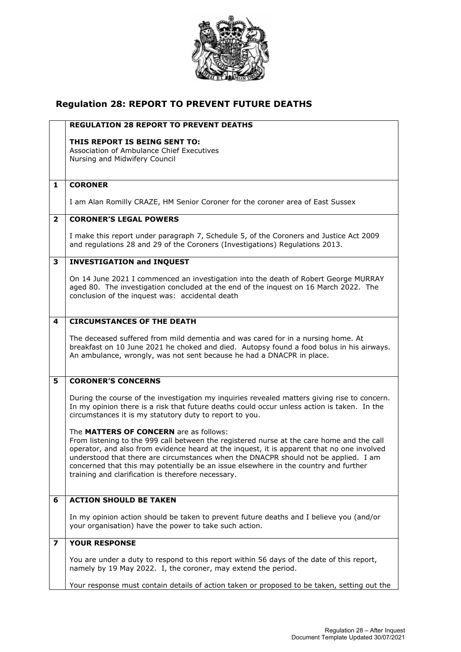

## **Regulation 28: REPORT TO PREVENT FUTURE DEATHS**

|                         | <b>REGULATION 28 REPORT TO PREVENT DEATHS</b>                                                                                                                                     |
|-------------------------|-----------------------------------------------------------------------------------------------------------------------------------------------------------------------------------|
|                         | THIS REPORT IS BEING SENT TO:                                                                                                                                                     |
|                         | Association of Ambulance Chief Executives                                                                                                                                         |
|                         | Nursing and Midwifery Council                                                                                                                                                     |
|                         |                                                                                                                                                                                   |
| 1                       | <b>CORONER</b>                                                                                                                                                                    |
|                         |                                                                                                                                                                                   |
|                         | I am Alan Romilly CRAZE, HM Senior Coroner for the coroner area of East Sussex                                                                                                    |
| $\overline{2}$          | <b>CORONER'S LEGAL POWERS</b>                                                                                                                                                     |
|                         |                                                                                                                                                                                   |
|                         | I make this report under paragraph 7, Schedule 5, of the Coroners and Justice Act 2009                                                                                            |
|                         | and regulations 28 and 29 of the Coroners (Investigations) Regulations 2013.                                                                                                      |
| 3                       | <b>INVESTIGATION and INQUEST</b>                                                                                                                                                  |
|                         |                                                                                                                                                                                   |
|                         | On 14 June 2021 I commenced an investigation into the death of Robert George MURRAY                                                                                               |
|                         | aged 80. The investigation concluded at the end of the inquest on 16 March 2022. The<br>conclusion of the inquest was: accidental death                                           |
|                         |                                                                                                                                                                                   |
|                         |                                                                                                                                                                                   |
| 4                       | <b>CIRCUMSTANCES OF THE DEATH</b>                                                                                                                                                 |
|                         | The deceased suffered from mild dementia and was cared for in a nursing home. At                                                                                                  |
|                         | breakfast on 10 June 2021 he choked and died. Autopsy found a food bolus in his airways.                                                                                          |
|                         | An ambulance, wrongly, was not sent because he had a DNACPR in place.                                                                                                             |
|                         |                                                                                                                                                                                   |
| 5                       | <b>CORONER'S CONCERNS</b>                                                                                                                                                         |
|                         |                                                                                                                                                                                   |
|                         | During the course of the investigation my inquiries revealed matters giving rise to concern.                                                                                      |
|                         | In my opinion there is a risk that future deaths could occur unless action is taken. In the<br>circumstances it is my statutory duty to report to you.                            |
|                         |                                                                                                                                                                                   |
|                         | The MATTERS OF CONCERN are as follows:                                                                                                                                            |
|                         | From listening to the 999 call between the registered nurse at the care home and the call                                                                                         |
|                         | operator, and also from evidence heard at the inquest, it is apparent that no one involved<br>understood that there are circumstances when the DNACPR should not be applied. I am |
|                         | concerned that this may potentially be an issue elsewhere in the country and further                                                                                              |
|                         | training and clarification is therefore necessary.                                                                                                                                |
|                         |                                                                                                                                                                                   |
| 6                       | <b>ACTION SHOULD BE TAKEN</b>                                                                                                                                                     |
|                         |                                                                                                                                                                                   |
|                         | In my opinion action should be taken to prevent future deaths and I believe you (and/or                                                                                           |
|                         | your organisation) have the power to take such action.                                                                                                                            |
| $\overline{\mathbf{z}}$ | <b>YOUR RESPONSE</b>                                                                                                                                                              |
|                         |                                                                                                                                                                                   |
|                         | You are under a duty to respond to this report within 56 days of the date of this report,                                                                                         |
|                         | namely by 19 May 2022. I, the coroner, may extend the period.                                                                                                                     |
|                         | Your response must contain details of action taken or proposed to be taken, setting out the                                                                                       |